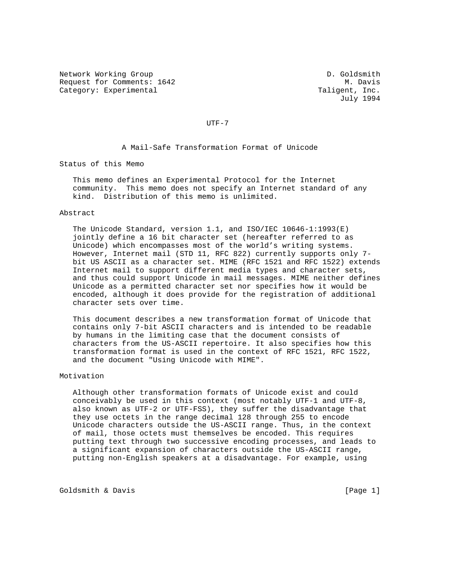Network Working Group D. Goldsmith Request for Comments: 1642 M. Davis Category: Experimental Taligent, Inc.

July 1994

UTF-7

A Mail-Safe Transformation Format of Unicode

Status of this Memo

 This memo defines an Experimental Protocol for the Internet community. This memo does not specify an Internet standard of any kind. Distribution of this memo is unlimited.

#### Abstract

 The Unicode Standard, version 1.1, and ISO/IEC 10646-1:1993(E) jointly define a 16 bit character set (hereafter referred to as Unicode) which encompasses most of the world's writing systems. However, Internet mail (STD 11, RFC 822) currently supports only 7 bit US ASCII as a character set. MIME (RFC 1521 and RFC 1522) extends Internet mail to support different media types and character sets, and thus could support Unicode in mail messages. MIME neither defines Unicode as a permitted character set nor specifies how it would be encoded, although it does provide for the registration of additional character sets over time.

 This document describes a new transformation format of Unicode that contains only 7-bit ASCII characters and is intended to be readable by humans in the limiting case that the document consists of characters from the US-ASCII repertoire. It also specifies how this transformation format is used in the context of RFC 1521, RFC 1522, and the document "Using Unicode with MIME".

# Motivation

 Although other transformation formats of Unicode exist and could conceivably be used in this context (most notably UTF-1 and UTF-8, also known as UTF-2 or UTF-FSS), they suffer the disadvantage that they use octets in the range decimal 128 through 255 to encode Unicode characters outside the US-ASCII range. Thus, in the context of mail, those octets must themselves be encoded. This requires putting text through two successive encoding processes, and leads to a significant expansion of characters outside the US-ASCII range, putting non-English speakers at a disadvantage. For example, using

Goldsmith & Davis (Page 1)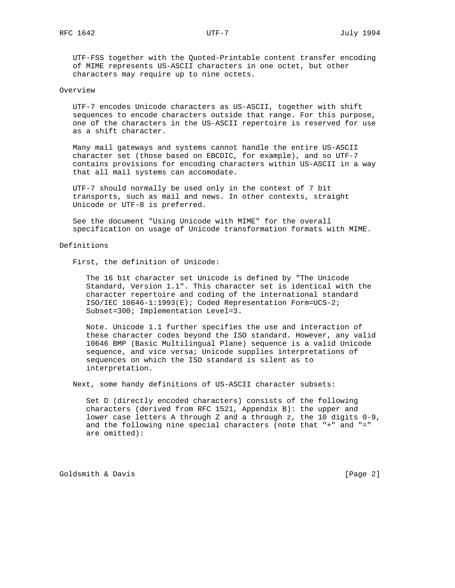UTF-FSS together with the Quoted-Printable content transfer encoding of MIME represents US-ASCII characters in one octet, but other characters may require up to nine octets.

## Overview

 UTF-7 encodes Unicode characters as US-ASCII, together with shift sequences to encode characters outside that range. For this purpose, one of the characters in the US-ASCII repertoire is reserved for use as a shift character.

 Many mail gateways and systems cannot handle the entire US-ASCII character set (those based on EBCDIC, for example), and so UTF-7 contains provisions for encoding characters within US-ASCII in a way that all mail systems can accomodate.

 UTF-7 should normally be used only in the context of 7 bit transports, such as mail and news. In other contexts, straight Unicode or UTF-8 is preferred.

 See the document "Using Unicode with MIME" for the overall specification on usage of Unicode transformation formats with MIME.

### Definitions

First, the definition of Unicode:

 The 16 bit character set Unicode is defined by "The Unicode Standard, Version 1.1". This character set is identical with the character repertoire and coding of the international standard ISO/IEC 10646-1:1993(E); Coded Representation Form=UCS-2; Subset=300; Implementation Level=3.

 Note. Unicode 1.1 further specifies the use and interaction of these character codes beyond the ISO standard. However, any valid 10646 BMP (Basic Multilingual Plane) sequence is a valid Unicode sequence, and vice versa; Unicode supplies interpretations of sequences on which the ISO standard is silent as to interpretation.

Next, some handy definitions of US-ASCII character subsets:

 Set D (directly encoded characters) consists of the following characters (derived from RFC 1521, Appendix B): the upper and lower case letters A through Z and a through z, the 10 digits 0-9, and the following nine special characters (note that "+" and "=" are omitted):

Goldsmith & Davis (Page 2)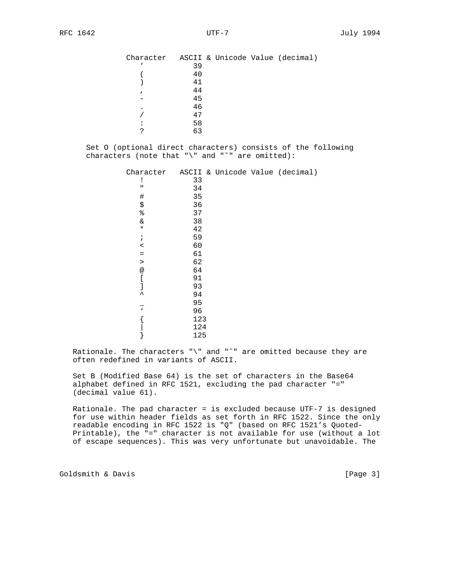| Character |    |  | ASCII & Unicode Value (decimal) |
|-----------|----|--|---------------------------------|
|           | 39 |  |                                 |
|           | 40 |  |                                 |
|           | 41 |  |                                 |
|           | 44 |  |                                 |
|           | 45 |  |                                 |
| $\bullet$ | 46 |  |                                 |
|           | 47 |  |                                 |
|           | 58 |  |                                 |
| ◠         | 63 |  |                                 |

 Set O (optional direct characters) consists of the following characters (note that "\" and "˜" are omitted):

| Character                |     |  | ASCII & Unicode Value (decimal) |
|--------------------------|-----|--|---------------------------------|
| ï                        | 33  |  |                                 |
| П                        | 34  |  |                                 |
| $\#$                     | 35  |  |                                 |
| \$                       | 36  |  |                                 |
| $\,{}^{\circ}_{\circ}\,$ | 37  |  |                                 |
| &                        | 38  |  |                                 |
| $\star$                  | 42  |  |                                 |
| $\ddot{i}$               | 59  |  |                                 |
| $\,<$                    | 60  |  |                                 |
| $\equiv$                 | 61  |  |                                 |
| $\geq$                   | 62  |  |                                 |
| $^{\copyright}$          | 64  |  |                                 |
|                          | 91  |  |                                 |
|                          | 93  |  |                                 |
| $\hat{\phantom{a}}$      | 94  |  |                                 |
|                          | 95  |  |                                 |
| $\mathbf{v}$             | 96  |  |                                 |
|                          | 123 |  |                                 |
|                          | 124 |  |                                 |
|                          | 125 |  |                                 |

Rationale. The characters " $\n\vee$ " and " $\sim$ " are omitted because they are often redefined in variants of ASCII.

 Set B (Modified Base 64) is the set of characters in the Base64 alphabet defined in RFC 1521, excluding the pad character "=" (decimal value 61).

 Rationale. The pad character = is excluded because UTF-7 is designed for use within header fields as set forth in RFC 1522. Since the only readable encoding in RFC 1522 is "Q" (based on RFC 1521's Quoted- Printable), the "=" character is not available for use (without a lot of escape sequences). This was very unfortunate but unavoidable. The

Goldsmith & Davis [Page 3]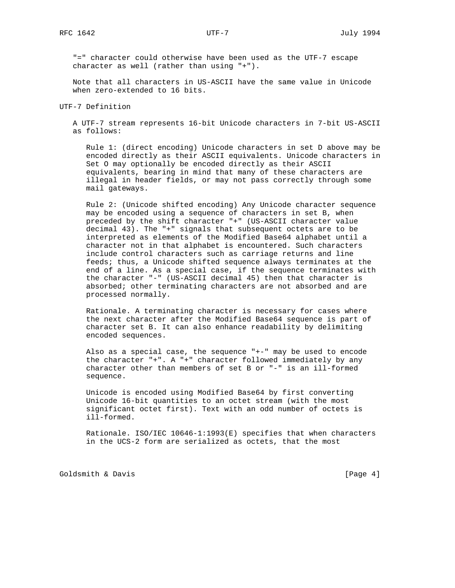"=" character could otherwise have been used as the UTF-7 escape character as well (rather than using "+").

 Note that all characters in US-ASCII have the same value in Unicode when zero-extended to 16 bits.

UTF-7 Definition

 A UTF-7 stream represents 16-bit Unicode characters in 7-bit US-ASCII as follows:

 Rule 1: (direct encoding) Unicode characters in set D above may be encoded directly as their ASCII equivalents. Unicode characters in Set O may optionally be encoded directly as their ASCII equivalents, bearing in mind that many of these characters are illegal in header fields, or may not pass correctly through some mail gateways.

 Rule 2: (Unicode shifted encoding) Any Unicode character sequence may be encoded using a sequence of characters in set B, when preceded by the shift character "+" (US-ASCII character value decimal 43). The "+" signals that subsequent octets are to be interpreted as elements of the Modified Base64 alphabet until a character not in that alphabet is encountered. Such characters include control characters such as carriage returns and line feeds; thus, a Unicode shifted sequence always terminates at the end of a line. As a special case, if the sequence terminates with the character "-" (US-ASCII decimal 45) then that character is absorbed; other terminating characters are not absorbed and are processed normally.

 Rationale. A terminating character is necessary for cases where the next character after the Modified Base64 sequence is part of character set B. It can also enhance readability by delimiting encoded sequences.

 Also as a special case, the sequence "+-" may be used to encode the character "+". A "+" character followed immediately by any character other than members of set B or "-" is an ill-formed sequence.

 Unicode is encoded using Modified Base64 by first converting Unicode 16-bit quantities to an octet stream (with the most significant octet first). Text with an odd number of octets is ill-formed.

 Rationale. ISO/IEC 10646-1:1993(E) specifies that when characters in the UCS-2 form are serialized as octets, that the most

Goldsmith & Davis **Example 20** (Page 4)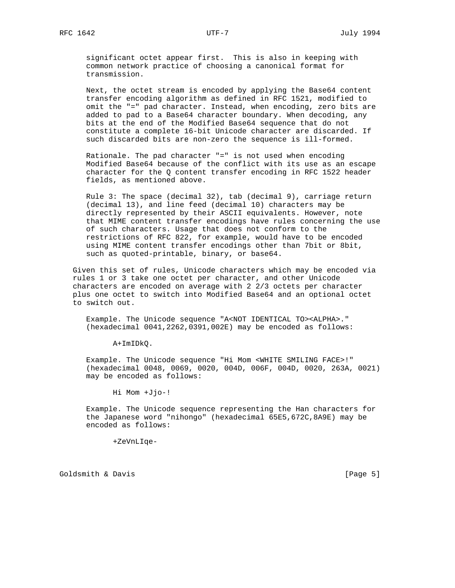significant octet appear first. This is also in keeping with common network practice of choosing a canonical format for transmission.

 Next, the octet stream is encoded by applying the Base64 content transfer encoding algorithm as defined in RFC 1521, modified to omit the "=" pad character. Instead, when encoding, zero bits are added to pad to a Base64 character boundary. When decoding, any bits at the end of the Modified Base64 sequence that do not constitute a complete 16-bit Unicode character are discarded. If such discarded bits are non-zero the sequence is ill-formed.

 Rationale. The pad character "=" is not used when encoding Modified Base64 because of the conflict with its use as an escape character for the Q content transfer encoding in RFC 1522 header fields, as mentioned above.

 Rule 3: The space (decimal 32), tab (decimal 9), carriage return (decimal 13), and line feed (decimal 10) characters may be directly represented by their ASCII equivalents. However, note that MIME content transfer encodings have rules concerning the use of such characters. Usage that does not conform to the restrictions of RFC 822, for example, would have to be encoded using MIME content transfer encodings other than 7bit or 8bit, such as quoted-printable, binary, or base64.

 Given this set of rules, Unicode characters which may be encoded via rules 1 or 3 take one octet per character, and other Unicode characters are encoded on average with 2 2/3 octets per character plus one octet to switch into Modified Base64 and an optional octet to switch out.

 Example. The Unicode sequence "A<NOT IDENTICAL TO><ALPHA>." (hexadecimal 0041,2262,0391,002E) may be encoded as follows:

A+ImIDkQ.

 Example. The Unicode sequence "Hi Mom <WHITE SMILING FACE>!" (hexadecimal 0048, 0069, 0020, 004D, 006F, 004D, 0020, 263A, 0021) may be encoded as follows:

Hi Mom +Jjo-!

 Example. The Unicode sequence representing the Han characters for the Japanese word "nihongo" (hexadecimal 65E5,672C,8A9E) may be encoded as follows:

+ZeVnLIqe-

Goldsmith & Davis **Example 20** (Page 5)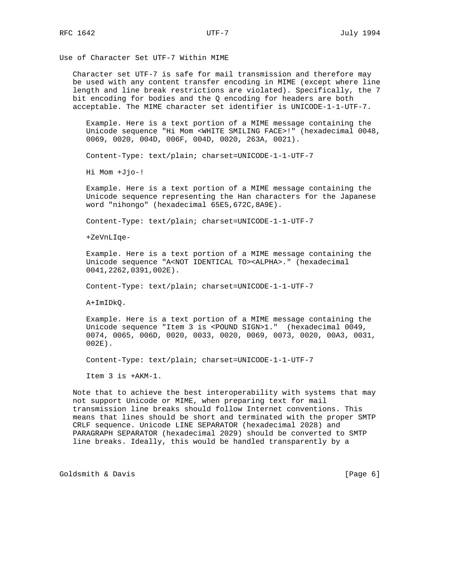Use of Character Set UTF-7 Within MIME

 Character set UTF-7 is safe for mail transmission and therefore may be used with any content transfer encoding in MIME (except where line length and line break restrictions are violated). Specifically, the 7 bit encoding for bodies and the Q encoding for headers are both acceptable. The MIME character set identifier is UNICODE-1-1-UTF-7.

 Example. Here is a text portion of a MIME message containing the Unicode sequence "Hi Mom <WHITE SMILING FACE>!" (hexadecimal 0048, 0069, 0020, 004D, 006F, 004D, 0020, 263A, 0021).

Content-Type: text/plain; charset=UNICODE-1-1-UTF-7

Hi Mom +Jjo-!

 Example. Here is a text portion of a MIME message containing the Unicode sequence representing the Han characters for the Japanese word "nihongo" (hexadecimal 65E5,672C,8A9E).

Content-Type: text/plain; charset=UNICODE-1-1-UTF-7

+ZeVnLIqe-

 Example. Here is a text portion of a MIME message containing the Unicode sequence "A<NOT IDENTICAL TO><ALPHA>." (hexadecimal 0041,2262,0391,002E).

Content-Type: text/plain; charset=UNICODE-1-1-UTF-7

A+ImIDkQ.

 Example. Here is a text portion of a MIME message containing the Unicode sequence "Item 3 is <POUND SIGN>1." (hexadecimal 0049, 0074, 0065, 006D, 0020, 0033, 0020, 0069, 0073, 0020, 00A3, 0031, 002E).

Content-Type: text/plain; charset=UNICODE-1-1-UTF-7

Item 3 is +AKM-1.

 Note that to achieve the best interoperability with systems that may not support Unicode or MIME, when preparing text for mail transmission line breaks should follow Internet conventions. This means that lines should be short and terminated with the proper SMTP CRLF sequence. Unicode LINE SEPARATOR (hexadecimal 2028) and PARAGRAPH SEPARATOR (hexadecimal 2029) should be converted to SMTP line breaks. Ideally, this would be handled transparently by a

Goldsmith & Davis (Page 6)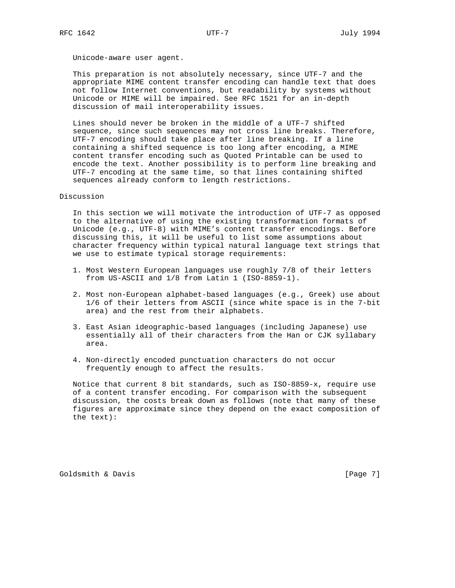Unicode-aware user agent.

 This preparation is not absolutely necessary, since UTF-7 and the appropriate MIME content transfer encoding can handle text that does not follow Internet conventions, but readability by systems without Unicode or MIME will be impaired. See RFC 1521 for an in-depth discussion of mail interoperability issues.

 Lines should never be broken in the middle of a UTF-7 shifted sequence, since such sequences may not cross line breaks. Therefore, UTF-7 encoding should take place after line breaking. If a line containing a shifted sequence is too long after encoding, a MIME content transfer encoding such as Quoted Printable can be used to encode the text. Another possibility is to perform line breaking and UTF-7 encoding at the same time, so that lines containing shifted sequences already conform to length restrictions.

## Discussion

 In this section we will motivate the introduction of UTF-7 as opposed to the alternative of using the existing transformation formats of Unicode (e.g., UTF-8) with MIME's content transfer encodings. Before discussing this, it will be useful to list some assumptions about character frequency within typical natural language text strings that we use to estimate typical storage requirements:

- 1. Most Western European languages use roughly 7/8 of their letters from US-ASCII and 1/8 from Latin 1 (ISO-8859-1).
- 2. Most non-European alphabet-based languages (e.g., Greek) use about 1/6 of their letters from ASCII (since white space is in the 7-bit area) and the rest from their alphabets.
- 3. East Asian ideographic-based languages (including Japanese) use essentially all of their characters from the Han or CJK syllabary area.
- 4. Non-directly encoded punctuation characters do not occur frequently enough to affect the results.

 Notice that current 8 bit standards, such as ISO-8859-x, require use of a content transfer encoding. For comparison with the subsequent discussion, the costs break down as follows (note that many of these figures are approximate since they depend on the exact composition of the text):

Goldsmith & Davis (Page 7)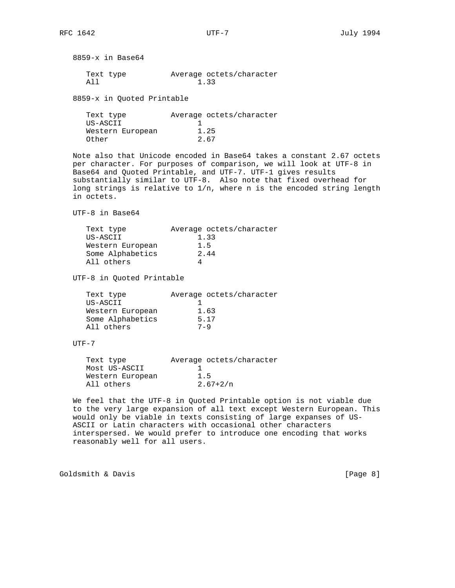8859-x in Base64

| Text type | Average octets/character |
|-----------|--------------------------|
| 21 T      | 1.33                     |

8859-x in Quoted Printable

| Text type        | Average octets/character |
|------------------|--------------------------|
| US-ASCII         |                          |
| Western European | 1.25                     |
| Other            | 2.67                     |

 Note also that Unicode encoded in Base64 takes a constant 2.67 octets per character. For purposes of comparison, we will look at UTF-8 in Base64 and Quoted Printable, and UTF-7. UTF-1 gives results substantially similar to UTF-8. Also note that fixed overhead for long strings is relative to 1/n, where n is the encoded string length in octets.

UTF-8 in Base64

| Average octets/character |
|--------------------------|
| 1.33                     |
| 1.5                      |
| 2.44                     |
|                          |
|                          |

UTF-8 in Quoted Printable

| Average octets/character |
|--------------------------|
|                          |
| 1.63                     |
| 5.17                     |
| $7 - 9$                  |
|                          |

 $UTF-7$ 

| Text type        | Average octets/character |
|------------------|--------------------------|
| Most US-ASCII    |                          |
| Western European | 1.5                      |
| All others       | $2.67 + 2/n$             |
|                  |                          |

 We feel that the UTF-8 in Quoted Printable option is not viable due to the very large expansion of all text except Western European. This would only be viable in texts consisting of large expanses of US- ASCII or Latin characters with occasional other characters interspersed. We would prefer to introduce one encoding that works reasonably well for all users.

Goldsmith & Davis **Example 2** (Page 8)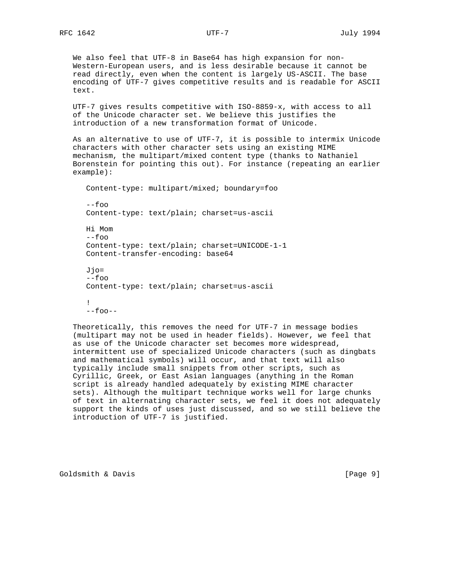We also feel that UTF-8 in Base64 has high expansion for non- Western-European users, and is less desirable because it cannot be read directly, even when the content is largely US-ASCII. The base encoding of UTF-7 gives competitive results and is readable for ASCII text.

 UTF-7 gives results competitive with ISO-8859-x, with access to all of the Unicode character set. We believe this justifies the introduction of a new transformation format of Unicode.

 As an alternative to use of UTF-7, it is possible to intermix Unicode characters with other character sets using an existing MIME mechanism, the multipart/mixed content type (thanks to Nathaniel Borenstein for pointing this out). For instance (repeating an earlier example):

 Content-type: multipart/mixed; boundary=foo  $--$ foo Content-type: text/plain; charset=us-ascii Hi Mom --foo Content-type: text/plain; charset=UNICODE-1-1 Content-transfer-encoding: base64 Jjo= --foo Content-type: text/plain; charset=us-ascii !

 $--$ foo $--$ 

 Theoretically, this removes the need for UTF-7 in message bodies (multipart may not be used in header fields). However, we feel that as use of the Unicode character set becomes more widespread, intermittent use of specialized Unicode characters (such as dingbats and mathematical symbols) will occur, and that text will also typically include small snippets from other scripts, such as Cyrillic, Greek, or East Asian languages (anything in the Roman script is already handled adequately by existing MIME character sets). Although the multipart technique works well for large chunks of text in alternating character sets, we feel it does not adequately support the kinds of uses just discussed, and so we still believe the introduction of UTF-7 is justified.

Goldsmith & Davis **Example 20** (Page 9)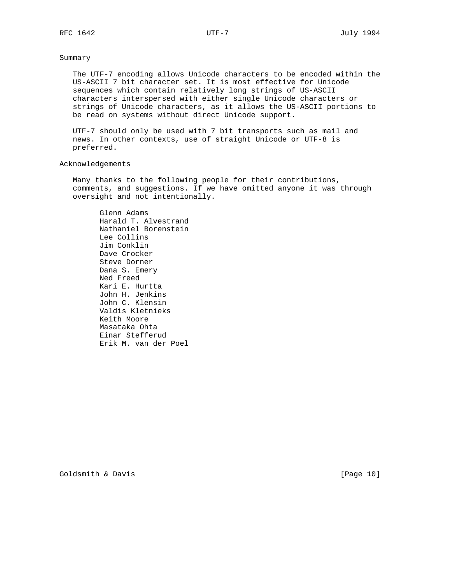## Summary

 The UTF-7 encoding allows Unicode characters to be encoded within the US-ASCII 7 bit character set. It is most effective for Unicode sequences which contain relatively long strings of US-ASCII characters interspersed with either single Unicode characters or strings of Unicode characters, as it allows the US-ASCII portions to be read on systems without direct Unicode support.

 UTF-7 should only be used with 7 bit transports such as mail and news. In other contexts, use of straight Unicode or UTF-8 is preferred.

## Acknowledgements

 Many thanks to the following people for their contributions, comments, and suggestions. If we have omitted anyone it was through oversight and not intentionally.

 Glenn Adams Harald T. Alvestrand Nathaniel Borenstein Lee Collins Jim Conklin Dave Crocker Steve Dorner Dana S. Emery Ned Freed Kari E. Hurtta John H. Jenkins John C. Klensin Valdis Kletnieks Keith Moore Masataka Ohta Einar Stefferud Erik M. van der Poel

Goldsmith & Davis [Page 10]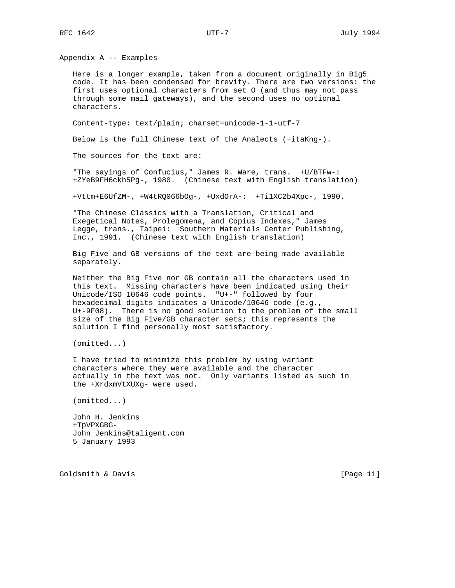Appendix A -- Examples

 Here is a longer example, taken from a document originally in Big5 code. It has been condensed for brevity. There are two versions: the first uses optional characters from set O (and thus may not pass through some mail gateways), and the second uses no optional characters.

Content-type: text/plain; charset=unicode-1-1-utf-7

Below is the full Chinese text of the Analects (+itaKng-).

The sources for the text are:

 "The sayings of Confucius," James R. Ware, trans. +U/BTFw-: +ZYeB9FH6ckh5Pg-, 1980. (Chinese text with English translation)

+Vttm+E6UfZM-, +W4tRQ066bOg-, +UxdOrA-: +Ti1XC2b4Xpc-, 1990.

 "The Chinese Classics with a Translation, Critical and Exegetical Notes, Prolegomena, and Copius Indexes," James Legge, trans., Taipei: Southern Materials Center Publishing, Inc., 1991. (Chinese text with English translation)

 Big Five and GB versions of the text are being made available separately.

 Neither the Big Five nor GB contain all the characters used in this text. Missing characters have been indicated using their Unicode/ISO 10646 code points. "U+-" followed by four hexadecimal digits indicates a Unicode/10646 code (e.g., U+-9F08). There is no good solution to the problem of the small size of the Big Five/GB character sets; this represents the solution I find personally most satisfactory.

(omitted...)

 I have tried to minimize this problem by using variant characters where they were available and the character actually in the text was not. Only variants listed as such in the +XrdxmVtXUXg- were used.

(omitted...)

 John H. Jenkins +TpVPXGBG- John\_Jenkins@taligent.com 5 January 1993

Goldsmith & Davis [Page 11]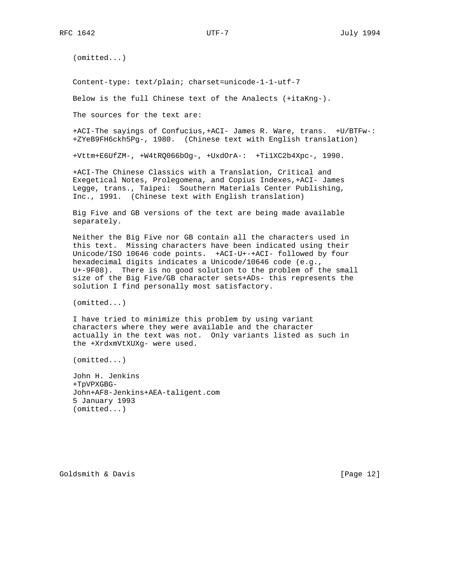(omitted...)

Content-type: text/plain; charset=unicode-1-1-utf-7

Below is the full Chinese text of the Analects (+itaKng-).

The sources for the text are:

 +ACI-The sayings of Confucius,+ACI- James R. Ware, trans. +U/BTFw-: +ZYeB9FH6ckh5Pg-, 1980. (Chinese text with English translation)

+Vttm+E6UfZM-, +W4tRQ066bOg-, +UxdOrA-: +Ti1XC2b4Xpc-, 1990.

 +ACI-The Chinese Classics with a Translation, Critical and Exegetical Notes, Prolegomena, and Copius Indexes,+ACI- James Legge, trans., Taipei: Southern Materials Center Publishing, Inc., 1991. (Chinese text with English translation)

 Big Five and GB versions of the text are being made available separately.

 Neither the Big Five nor GB contain all the characters used in this text. Missing characters have been indicated using their Unicode/ISO 10646 code points. +ACI-U+-+ACI- followed by four hexadecimal digits indicates a Unicode/10646 code (e.g., U+-9F08). There is no good solution to the problem of the small size of the Big Five/GB character sets+ADs- this represents the solution I find personally most satisfactory.

(omitted...)

 I have tried to minimize this problem by using variant characters where they were available and the character actually in the text was not. Only variants listed as such in the +XrdxmVtXUXg- were used.

(omitted...)

 John H. Jenkins +TpVPXGBG- John+AF8-Jenkins+AEA-taligent.com 5 January 1993 (omitted...)

Goldsmith & Davis [Page 12]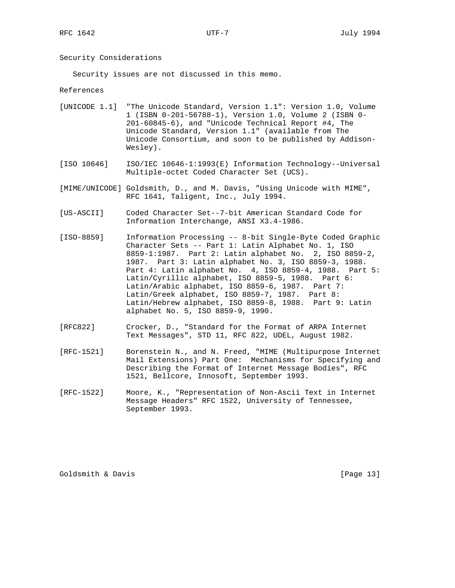Security Considerations

Security issues are not discussed in this memo.

References

- [UNICODE 1.1] "The Unicode Standard, Version 1.1": Version 1.0, Volume 1 (ISBN 0-201-56788-1), Version 1.0, Volume 2 (ISBN 0- 201-60845-6), and "Unicode Technical Report #4, The Unicode Standard, Version 1.1" (available from The Unicode Consortium, and soon to be published by Addison- Wesley).
- [ISO 10646] ISO/IEC 10646-1:1993(E) Information Technology--Universal Multiple-octet Coded Character Set (UCS).
- [MIME/UNICODE] Goldsmith, D., and M. Davis, "Using Unicode with MIME", RFC 1641, Taligent, Inc., July 1994.
- [US-ASCII] Coded Character Set--7-bit American Standard Code for Information Interchange, ANSI X3.4-1986.
- [ISO-8859] Information Processing -- 8-bit Single-Byte Coded Graphic Character Sets -- Part 1: Latin Alphabet No. 1, ISO 8859-1:1987. Part 2: Latin alphabet No. 2, ISO 8859-2, 1987. Part 3: Latin alphabet No. 3, ISO 8859-3, 1988. Part 4: Latin alphabet No. 4, ISO 8859-4, 1988. Part 5: Latin/Cyrillic alphabet, ISO 8859-5, 1988. Part 6: Latin/Arabic alphabet, ISO 8859-6, 1987. Part 7: Latin/Greek alphabet, ISO 8859-7, 1987. Part 8: Latin/Hebrew alphabet, ISO 8859-8, 1988. Part 9: Latin alphabet No. 5, ISO 8859-9, 1990.
- [RFC822] Crocker, D., "Standard for the Format of ARPA Internet Text Messages", STD 11, RFC 822, UDEL, August 1982.
- [RFC-1521] Borenstein N., and N. Freed, "MIME (Multipurpose Internet Mail Extensions) Part One: Mechanisms for Specifying and Describing the Format of Internet Message Bodies", RFC 1521, Bellcore, Innosoft, September 1993.
- [RFC-1522] Moore, K., "Representation of Non-Ascii Text in Internet Message Headers" RFC 1522, University of Tennessee, September 1993.

Goldsmith & Davis [Page 13]